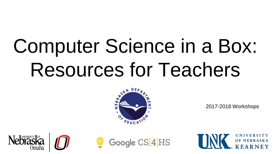# Computer Science in a Box: Resources for Teachers



2017-2018 Workshops





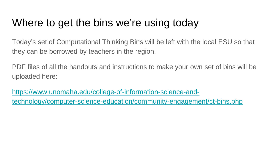## Where to get the bins we're using today

Today's set of Computational Thinking Bins will be left with the local ESU so that they can be borrowed by teachers in the region.

PDF files of all the handouts and instructions to make your own set of bins will be uploaded here:

https://www.unomaha.edu/college-of-information-science-and[technology/computer-science-education/community-engagement/ct-bins.php](https://www.unomaha.edu/college-of-information-science-and-technology/computer-science-education/community-engagement/ct-bins.php)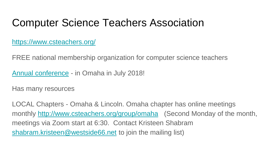#### Computer Science Teachers Association

<https://www.csteachers.org/>

FREE national membership organization for computer science teachers

[Annual conference](http://www.csteachers.org/page/2018Conference) - in Omaha in July 2018!

Has many resources

LOCAL Chapters - Omaha & Lincoln. Omaha chapter has online meetings monthly <http://www.csteachers.org/group/omaha> (Second Monday of the month, meetings via Zoom start at 6:30. Contact Kristeen Shabram [shabram.kristeen@westside66.net](mailto:shabram.kristeen@westside66.net) to join the mailing list)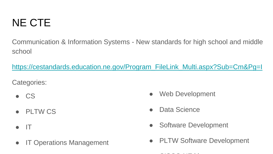## NE CTE

Communication & Information Systems - New standards for high school and middle school

[https://cestandards.education.ne.gov/Program\\_FileLink\\_Multi.aspx?Sub=Cm&Pg=I](https://cestandards.education.ne.gov/Program_FileLink_Multi.aspx?Sub=Cm&Pg=I)

Categories:

- CS
- PLTW CS
- IT
- IT Operations Management
- Web Development
- Data Science
- **Software Development**
- PLTW Software Development
	- CISCO NEtki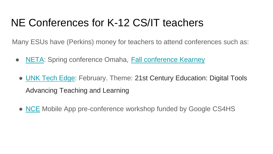## NE Conferences for K-12 CS/IT teachers

Many ESUs have (Perkins) money for teachers to attend conferences such as:

- [NETA:](http://netasite.org/) Spring conference Omaha, [Fall conference Kearney](http://www.fall.netasite.org/)
	- [UNK Tech Edge:](http://www.unk.edu/academics/coe/unk-tech-edge-conference.php) February. Theme: 21st Century Education: Digital Tools Advancing Teaching and Learning
	- [NCE](http://actenebraska.org/main-menu/conferences/2011-nebraska-career-education-conference/) Mobile App pre-conference workshop funded by Google CS4HS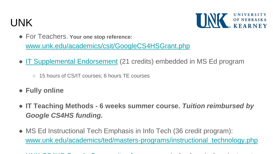## UNK



- For Teachers. **Your one stop reference:**  www.unk.edu/academics/csit/GoogleCS4HSGrant.php
- [IT Supplemental Endorsement](http://www.unk.edu/academics/csit/programs/it-supplemental-endorsement.php) (21 credits) embedded in MS Ed program
	- 15 hours of CS/IT courses; 6 hours TE courses
- **Fully online**
- **IT Teaching Methods - 6 weeks summer course.** *Tuition reimbursed by Google CS4HS funding.*
- MS Ed Instructional Tech Emphasis in Info Tech (36 credit program): [www.unk.edu/academics/ted/masters-programs/instructional\\_technology.php](http://www.unk.edu/academics/ted/masters-programs/instructional_technology.php)

UNITARILIAN IN A line in the first line of the state of the interest of the interest of the interest of the in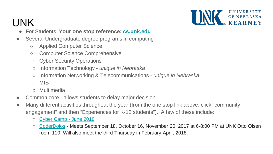

# UNK

- For Students. **Your one stop reference: [cs.unk.edu](http://cs.unk.edu)**
- Several Undergraduate degree programs in computing
	- Applied Computer Science
	- Computer Science Comprehensive
	- Cyber Security Operations
	- Information Technology *unique in Nebraska*
	- Information Networking & Telecommunications *unique in Nebraska*
	- MIS
	- Multimedia
- Common core allows students to delay major decision
- Many different activities throughout the year (from the one stop link above, click "community engagement" and then "Experiences for K-12 students"). A few of these include:
	- [Cyber Camp -](http://yns.nebraska.edu/camps/cybercamp) June 2018
	- [CoderDojos](https://zen.coderdojo.com/dojos/us/kearney-ne/university-of-nebraska-kearney) Meets September 18, October 16, November 20, 2017 at 6-8:00 PM at UNK Otto Olsen room 110. Will also meet the third Thursday in February-April, 2018.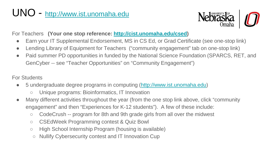## UNO - <http://www.ist.unomaha.edu>



For Teachers **(Your one stop reference:<http://cist.unomaha.edu/csed>)**

- Earn your IT Supplemental Endorsement, MS in CS Ed, or Grad Certificate (see one-stop link)
- Lending Library of Equipment for Teachers ("community engagement" tab on one-stop link)
- Paid summer PD opportunities in funded by the National Science Foundation (SPARCS, RET, and GenCyber -- see "Teacher Opportunities" on "Community Engagement")

For Students

- 5 undergraduate degree programs in computing [\(http://www.ist.unomaha.edu](http://www.ist.unomaha.edu))
	- Unique programs: Bioinformatics, IT Innovation
- Many different activities throughout the year (from the one stop link above, click "community" engagement" and then "Experiences for K-12 students"). A few of these include:
	- CodeCrush -- program for 8th and 9th grade girls from all over the midwest
	- CSEdWeek Programming contest & Quiz Bowl
	- High School Internship Program (housing is available)
	- Nullify Cybersecurity contest and IT Innovation Cup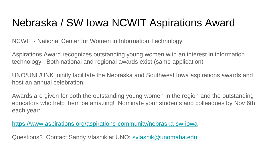## Nebraska / SW Iowa NCWIT Aspirations Award

NCWIT - National Center for Women in Information Technology

Aspirations Award recognizes outstanding young women with an interest in information technology. Both national and regional awards exist (same application)

UNO/UNL/UNK jointly facilitate the Nebraska and Southwest Iowa aspirations awards and host an annual celebration.

Awards are given for both the outstanding young women in the region and the outstanding educators who help them be amazing! Nominate your students and colleagues by Nov 6th each year:

<https://www.aspirations.org/aspirations-community/nebraska-sw-iowa>

Questions? Contact Sandy Vlasnik at UNO: [svlasnik@unomaha.edu](mailto:svlasnik@unomaha.edu)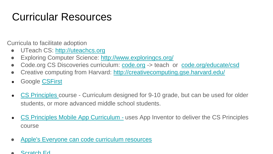# Curricular Resources

Curricula to facilitate adoption

- UTeach CS: <http://uteachcs.org>
- Exploring Computer Science:<http://www.exploringcs.org/>
- Code.org CS Discoveries curriculum: [code.org](http://code.org) -> teach or [code.org/educate/csd](https://code.org/educate/csd)
- Creative computing from Harvard: <http://creativecomputing.gse.harvard.edu/>
- Google [CSFirst](https://www.cs-first.com/en/home)
- [CS Principles](http://apcsprinciples.org/) course Curriculum designed for 9-10 grade, but can be used for older students, or more advanced middle school students.
- [CS Principles Mobile App Curriculum](http://www.mobile-csp.org/) uses App Inventor to deliver the CS Principles course
- [Apple's Everyone can code curriculum resources](https://www.apple.com/everyone-can-code/)
- [Scratch Ed](http://scratched.gse.harvard.edu/)